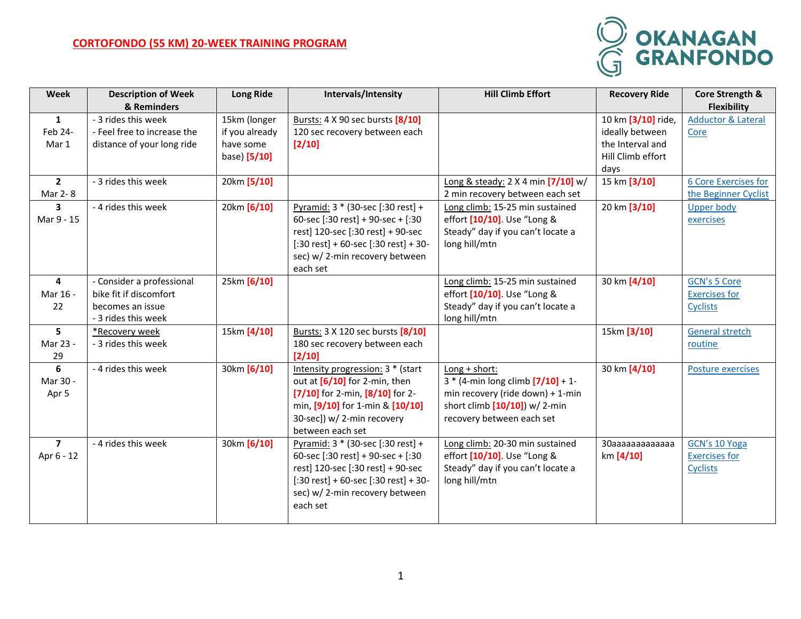## **CORTOFONDO (55 KM) 20-WEEK TRAINING PROGRAM**



| Week           | <b>Description of Week</b>  | <b>Long Ride</b> | Intervals/Intensity                                           | <b>Hill Climb Effort</b>                    | <b>Recovery Ride</b> | Core Strength &               |
|----------------|-----------------------------|------------------|---------------------------------------------------------------|---------------------------------------------|----------------------|-------------------------------|
|                | & Reminders                 |                  |                                                               |                                             |                      | <b>Flexibility</b>            |
| $\mathbf{1}$   | - 3 rides this week         | 15km (longer     | Bursts: 4 X 90 sec bursts [8/10]                              |                                             | 10 km [3/10] ride,   | <b>Adductor &amp; Lateral</b> |
| Feb 24-        | - Feel free to increase the | if you already   | 120 sec recovery between each                                 |                                             | ideally between      | Core                          |
| Mar 1          | distance of your long ride  | have some        | $[2/10]$                                                      |                                             | the Interval and     |                               |
|                |                             | base) [5/10]     |                                                               |                                             | Hill Climb effort    |                               |
|                |                             |                  |                                                               |                                             | days                 |                               |
| $\mathbf{2}$   | - 3 rides this week         | 20km [5/10]      |                                                               | Long & steady: $2 \times 4$ min $[7/10]$ w/ | 15 km [3/10]         | <b>6 Core Exercises for</b>   |
| Mar 2-8        |                             |                  |                                                               | 2 min recovery between each set             |                      | the Beginner Cyclist          |
| 3              | - 4 rides this week         | 20km [6/10]      | Pyramid: 3 * (30-sec [:30 rest] +                             | Long climb: 15-25 min sustained             | 20 km [3/10]         | <b>Upper body</b>             |
| Mar 9 - 15     |                             |                  | 60-sec [:30 rest] + 90-sec + [:30                             | effort [10/10]. Use "Long &                 |                      | exercises                     |
|                |                             |                  | rest] 120-sec [:30 rest] + 90-sec                             | Steady" day if you can't locate a           |                      |                               |
|                |                             |                  | $[:30 \text{ rest}] + 60\text{-sec}[:30 \text{ rest}] + 30$ - | long hill/mtn                               |                      |                               |
|                |                             |                  | sec) w/2-min recovery between                                 |                                             |                      |                               |
|                |                             |                  | each set                                                      |                                             |                      |                               |
| 4              | - Consider a professional   | 25km [6/10]      |                                                               | Long climb: 15-25 min sustained             | 30 km [4/10]         | <b>GCN's 5 Core</b>           |
| Mar 16 -       | bike fit if discomfort      |                  |                                                               | effort [10/10]. Use "Long &                 |                      | <b>Exercises for</b>          |
| 22             | becomes an issue            |                  |                                                               | Steady" day if you can't locate a           |                      | <b>Cyclists</b>               |
|                | - 3 rides this week         |                  |                                                               | long hill/mtn                               |                      |                               |
| 5              | *Recovery week              | 15km [4/10]      | Bursts: 3 X 120 sec bursts [8/10]                             |                                             | 15km [3/10]          | <b>General stretch</b>        |
| Mar 23 -       | - 3 rides this week         |                  | 180 sec recovery between each                                 |                                             |                      | routine                       |
| 29             |                             |                  | $[2/10]$                                                      |                                             |                      |                               |
| 6              | - 4 rides this week         | 30km [6/10]      | Intensity progression: 3 * (start                             | Long + short:                               | 30 km [4/10]         | Posture exercises             |
| Mar 30 -       |                             |                  | out at $[6/10]$ for 2-min, then                               | $3 * (4 - min long climb [7/10] + 1 -$      |                      |                               |
| Apr 5          |                             |                  | $[7/10]$ for 2-min, $[8/10]$ for 2-                           | min recovery (ride down) + 1-min            |                      |                               |
|                |                             |                  | min, [9/10] for 1-min & [10/10]                               | short climb $[10/10]$ ) w/ 2-min            |                      |                               |
|                |                             |                  | 30-sec]) w/ 2-min recovery                                    | recovery between each set                   |                      |                               |
|                |                             |                  | between each set                                              |                                             |                      |                               |
| $\overline{7}$ | - 4 rides this week         | 30km [6/10]      | Pyramid: 3 * (30-sec [:30 rest] +                             | Long climb: 20-30 min sustained             | ЗОаааааааааааа       | GCN's 10 Yoga                 |
| Apr 6 - 12     |                             |                  | 60-sec [:30 rest] + 90-sec + [:30                             | effort [10/10]. Use "Long &                 | km [4/10]            | <b>Exercises for</b>          |
|                |                             |                  | rest] 120-sec [:30 rest] + 90-sec                             | Steady" day if you can't locate a           |                      | <b>Cyclists</b>               |
|                |                             |                  | $[:30 \text{ rest}] + 60\text{-sec}[:30 \text{ rest}] + 30$ - | long hill/mtn                               |                      |                               |
|                |                             |                  | sec) w/2-min recovery between                                 |                                             |                      |                               |
|                |                             |                  | each set                                                      |                                             |                      |                               |
|                |                             |                  |                                                               |                                             |                      |                               |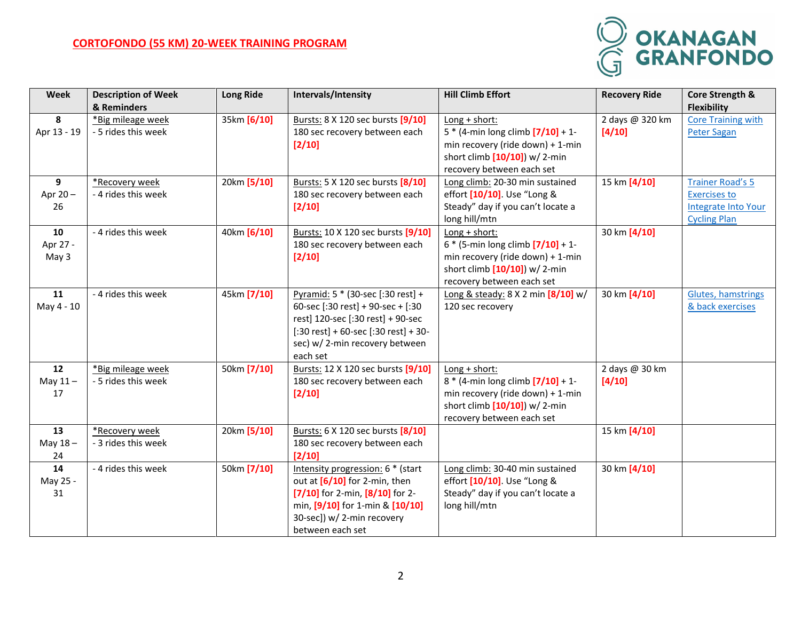## **CORTOFONDO (55 KM) 20-WEEK TRAINING PROGRAM**



| <b>Week</b>             | <b>Description of Week</b>               | <b>Long Ride</b> | Intervals/Intensity                                                                                                                                                                                                    | <b>Hill Climb Effort</b>                                                                                                                                        | <b>Recovery Ride</b>      | Core Strength &                                                                              |
|-------------------------|------------------------------------------|------------------|------------------------------------------------------------------------------------------------------------------------------------------------------------------------------------------------------------------------|-----------------------------------------------------------------------------------------------------------------------------------------------------------------|---------------------------|----------------------------------------------------------------------------------------------|
|                         | & Reminders                              |                  |                                                                                                                                                                                                                        |                                                                                                                                                                 |                           | <b>Flexibility</b>                                                                           |
| 8<br>Apr 13 - 19        | *Big mileage week<br>- 5 rides this week | 35km [6/10]      | Bursts: 8 X 120 sec bursts [9/10]<br>180 sec recovery between each<br>$[2/10]$                                                                                                                                         | Long + short:<br>$5 * (4 - min long climb [7/10] + 1 -$<br>min recovery (ride down) + 1-min<br>short climb [10/10]) w/ 2-min<br>recovery between each set       | 2 days @ 320 km<br>[4/10] | <b>Core Training with</b><br><b>Peter Sagan</b>                                              |
| 9<br>Apr 20-<br>26      | *Recovery week<br>- 4 rides this week    | 20km [5/10]      | Bursts: 5 X 120 sec bursts [8/10]<br>180 sec recovery between each<br>$[2/10]$                                                                                                                                         | Long climb: 20-30 min sustained<br>effort [10/10]. Use "Long &<br>Steady" day if you can't locate a<br>long hill/mtn                                            | 15 km [4/10]              | <b>Trainer Road's 5</b><br><b>Exercises to</b><br>Integrate Into Your<br><b>Cycling Plan</b> |
| 10<br>Apr 27 -<br>May 3 | - 4 rides this week                      | 40km [6/10]      | Bursts: 10 X 120 sec bursts [9/10]<br>180 sec recovery between each<br>$[2/10]$                                                                                                                                        | $Long + short:$<br>$6 * (5 - min long climb [7/10] + 1 -$<br>min recovery (ride down) + 1-min<br>short climb $[10/10]$ ) w/ 2-min<br>recovery between each set  | 30 km [4/10]              |                                                                                              |
| 11<br>May 4 - 10        | - 4 rides this week                      | 45km [7/10]      | Pyramid: 5 * (30-sec [:30 rest] +<br>60-sec [:30 rest] + 90-sec + [:30<br>rest] 120-sec [:30 rest] + 90-sec<br>$[:30 \text{ rest}] + 60$ -sec $[:30 \text{ rest}] + 30$ -<br>sec) w/2-min recovery between<br>each set | Long & steady: 8 X 2 min [8/10] w/<br>120 sec recovery                                                                                                          | 30 km [4/10]              | <b>Glutes, hamstrings</b><br>& back exercises                                                |
| 12<br>May $11 -$<br>17  | *Big mileage week<br>- 5 rides this week | 50km [7/10]      | Bursts: 12 X 120 sec bursts [9/10]<br>180 sec recovery between each<br>$[2/10]$                                                                                                                                        | $Long + short:$<br>$8 * (4$ -min long climb $[7/10] + 1$ -<br>min recovery (ride down) + 1-min<br>short climb $[10/10]$ ) w/ 2-min<br>recovery between each set | 2 days @ 30 km<br>[4/10]  |                                                                                              |
| 13<br>May $18 -$<br>24  | *Recovery week<br>- 3 rides this week    | 20km [5/10]      | Bursts: 6 X 120 sec bursts [8/10]<br>180 sec recovery between each<br>[2/10]                                                                                                                                           |                                                                                                                                                                 | 15 km [4/10]              |                                                                                              |
| 14<br>May 25 -<br>31    | - 4 rides this week                      | 50km [7/10]      | Intensity progression: 6 * (start<br>out at [6/10] for 2-min, then<br>$[7/10]$ for 2-min, $[8/10]$ for 2-<br>min, [9/10] for 1-min & [10/10]<br>30-sec]) w/ 2-min recovery<br>between each set                         | Long climb: 30-40 min sustained<br>effort [10/10]. Use "Long &<br>Steady" day if you can't locate a<br>long hill/mtn                                            | 30 km [4/10]              |                                                                                              |